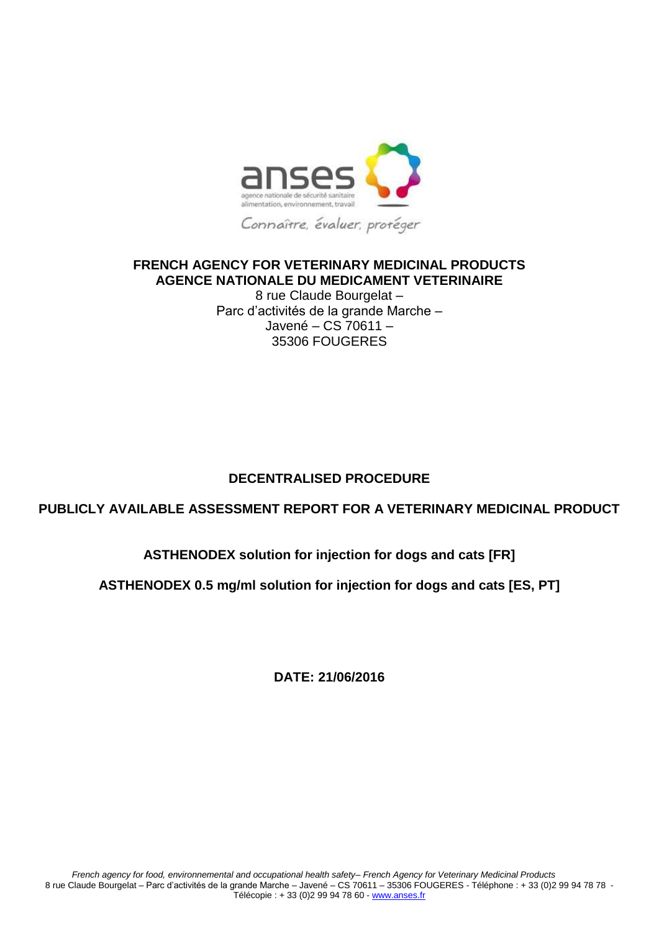

## **FRENCH AGENCY FOR VETERINARY MEDICINAL PRODUCTS AGENCE NATIONALE DU MEDICAMENT VETERINAIRE**

8 rue Claude Bourgelat – Parc d'activités de la grande Marche – Javené – CS 70611 – 35306 FOUGERES

# **DECENTRALISED PROCEDURE**

# **PUBLICLY AVAILABLE ASSESSMENT REPORT FOR A VETERINARY MEDICINAL PRODUCT**

# **ASTHENODEX solution for injection for dogs and cats [FR]**

## **ASTHENODEX 0.5 mg/ml solution for injection for dogs and cats [ES, PT]**

**DATE: 21/06/2016**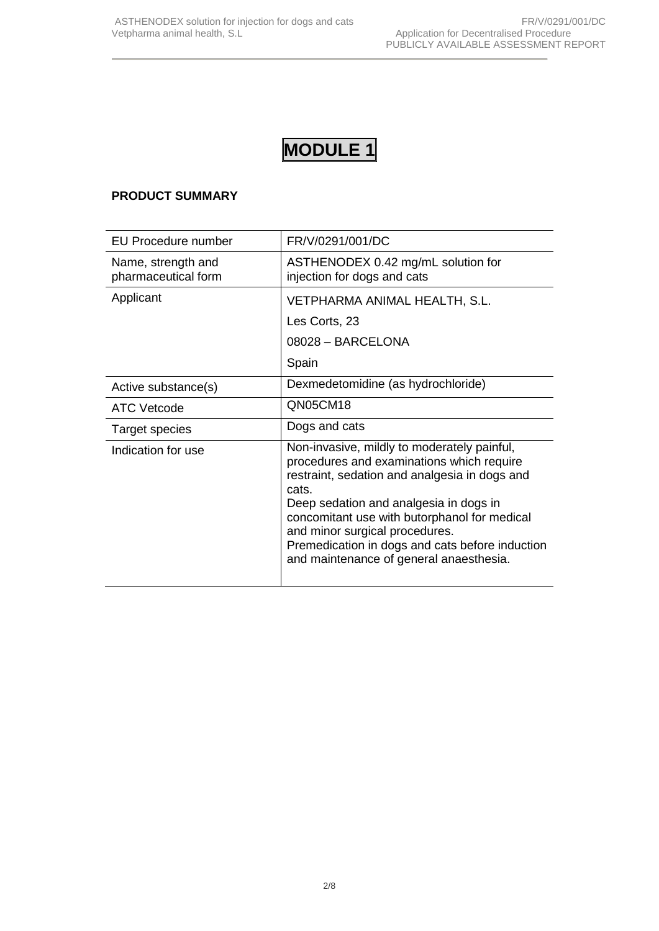# **MODULE 1**

## **PRODUCT SUMMARY**

| <b>EU Procedure number</b>                | FR/V/0291/001/DC                                                                                                                                                                                                                                                                                                                                                             |
|-------------------------------------------|------------------------------------------------------------------------------------------------------------------------------------------------------------------------------------------------------------------------------------------------------------------------------------------------------------------------------------------------------------------------------|
| Name, strength and<br>pharmaceutical form | ASTHENODEX 0.42 mg/mL solution for<br>injection for dogs and cats                                                                                                                                                                                                                                                                                                            |
| Applicant                                 | VETPHARMA ANIMAL HEALTH, S.L.                                                                                                                                                                                                                                                                                                                                                |
|                                           | Les Corts, 23                                                                                                                                                                                                                                                                                                                                                                |
|                                           | 08028 - BARCELONA                                                                                                                                                                                                                                                                                                                                                            |
|                                           | Spain                                                                                                                                                                                                                                                                                                                                                                        |
| Active substance(s)                       | Dexmedetomidine (as hydrochloride)                                                                                                                                                                                                                                                                                                                                           |
| <b>ATC Vetcode</b>                        | QN05CM18                                                                                                                                                                                                                                                                                                                                                                     |
| Target species                            | Dogs and cats                                                                                                                                                                                                                                                                                                                                                                |
| Indication for use                        | Non-invasive, mildly to moderately painful,<br>procedures and examinations which require<br>restraint, sedation and analgesia in dogs and<br>cats.<br>Deep sedation and analgesia in dogs in<br>concomitant use with butorphanol for medical<br>and minor surgical procedures.<br>Premedication in dogs and cats before induction<br>and maintenance of general anaesthesia. |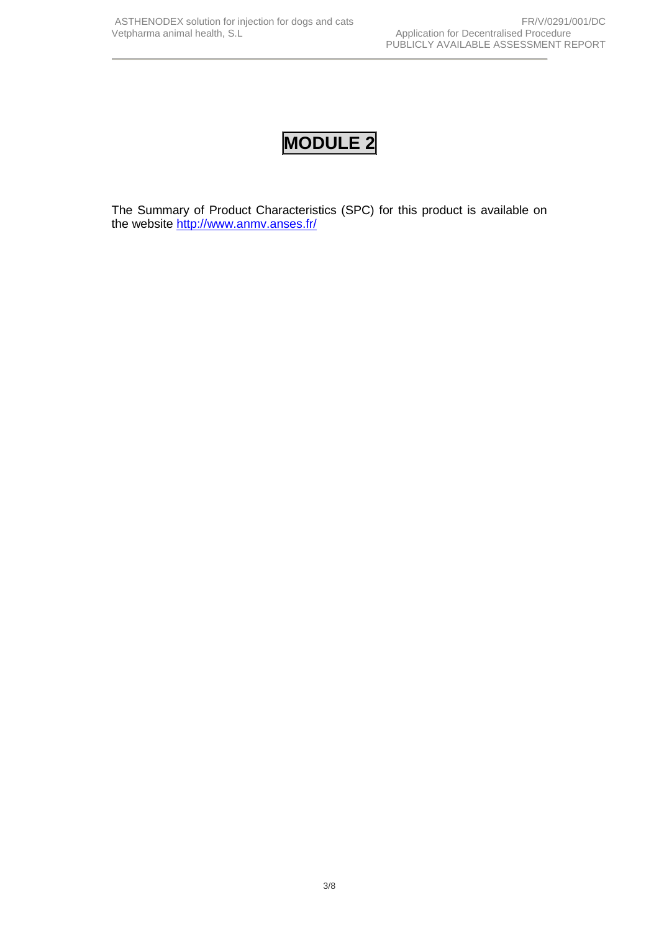# **MODULE 2**

The Summary of Product Characteristics (SPC) for this product is available on the website <http://www.anmv.anses.fr/>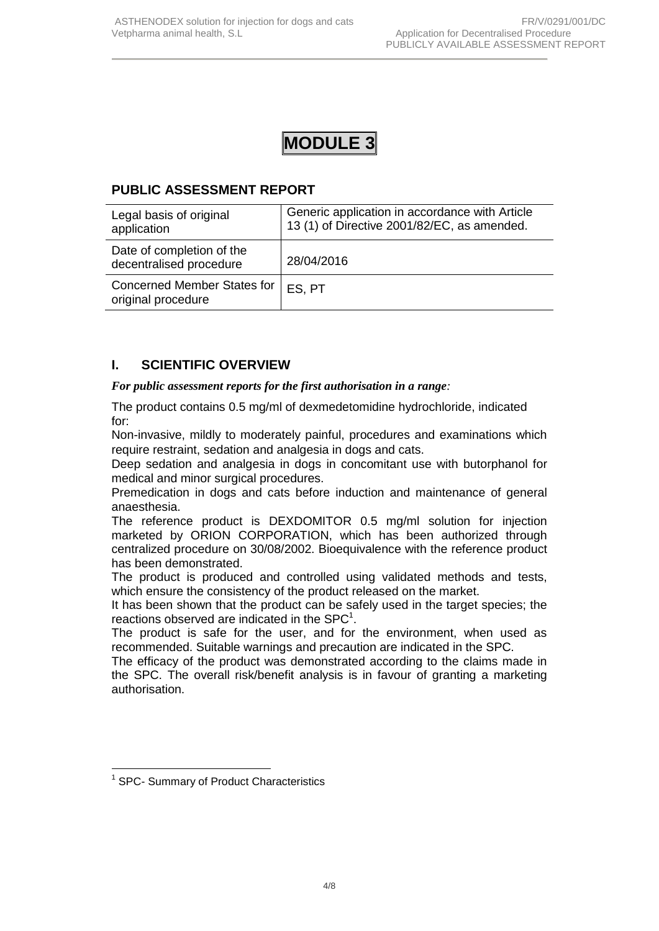# **MODULE 3**

# **PUBLIC ASSESSMENT REPORT**

| Legal basis of original<br>application                   | Generic application in accordance with Article<br>13 (1) of Directive 2001/82/EC, as amended. |
|----------------------------------------------------------|-----------------------------------------------------------------------------------------------|
| Date of completion of the<br>decentralised procedure     | 28/04/2016                                                                                    |
| <b>Concerned Member States for</b><br>original procedure | ES, PT                                                                                        |

# **I. SCIENTIFIC OVERVIEW**

#### *For public assessment reports for the first authorisation in a range:*

The product contains 0.5 mg/ml of dexmedetomidine hydrochloride, indicated for:

Non-invasive, mildly to moderately painful, procedures and examinations which require restraint, sedation and analgesia in dogs and cats.

Deep sedation and analgesia in dogs in concomitant use with butorphanol for medical and minor surgical procedures.

Premedication in dogs and cats before induction and maintenance of general anaesthesia.

The reference product is DEXDOMITOR 0.5 mg/ml solution for injection marketed by ORION CORPORATION, which has been authorized through centralized procedure on 30/08/2002. Bioequivalence with the reference product has been demonstrated.

The product is produced and controlled using validated methods and tests, which ensure the consistency of the product released on the market.

It has been shown that the product can be safely used in the target species; the reactions observed are indicated in the SPC $^1$ .

The product is safe for the user, and for the environment, when used as recommended. Suitable warnings and precaution are indicated in the SPC.

The efficacy of the product was demonstrated according to the claims made in the SPC. The overall risk/benefit analysis is in favour of granting a marketing authorisation.

<sup>&</sup>lt;u>.</u> <sup>1</sup> SPC- Summary of Product Characteristics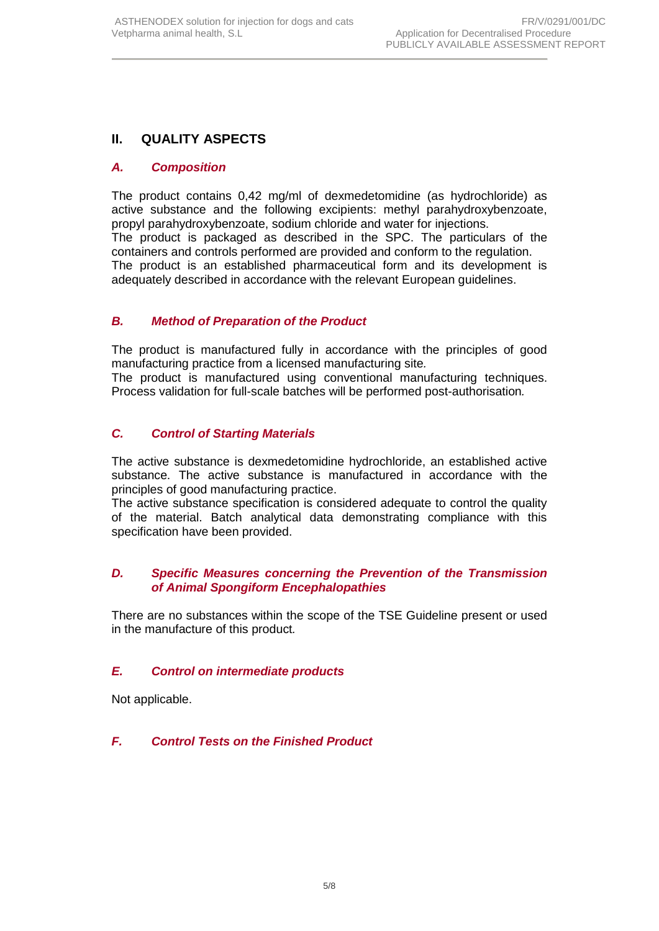## **II. QUALITY ASPECTS**

### *A. Composition*

The product contains 0,42 mg/ml of dexmedetomidine (as hydrochloride) as active substance and the following excipients: methyl parahydroxybenzoate, propyl parahydroxybenzoate, sodium chloride and water for injections. The product is packaged as described in the SPC. The particulars of the containers and controls performed are provided and conform to the regulation. The product is an established pharmaceutical form and its development is adequately described in accordance with the relevant European quidelines.

#### *B. Method of Preparation of the Product*

The product is manufactured fully in accordance with the principles of good manufacturing practice from a licensed manufacturing site*.* The product is manufactured using conventional manufacturing techniques.

Process validation for full-scale batches will be performed post-authorisation*.*

#### *C. Control of Starting Materials*

The active substance is dexmedetomidine hydrochloride, an established active substance. The active substance is manufactured in accordance with the principles of good manufacturing practice.

The active substance specification is considered adequate to control the quality of the material. Batch analytical data demonstrating compliance with this specification have been provided.

#### *D. Specific Measures concerning the Prevention of the Transmission of Animal Spongiform Encephalopathies*

There are no substances within the scope of the TSE Guideline present or used in the manufacture of this product*.*

### *E. Control on intermediate products*

Not applicable.

### *F. Control Tests on the Finished Product*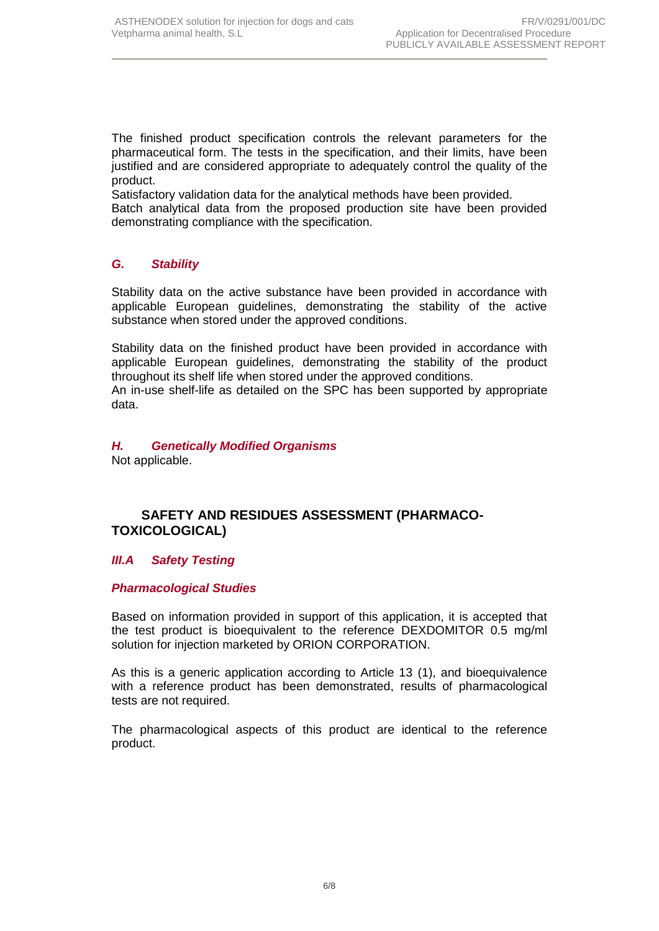The finished product specification controls the relevant parameters for the pharmaceutical form. The tests in the specification, and their limits, have been justified and are considered appropriate to adequately control the quality of the product.

Satisfactory validation data for the analytical methods have been provided.

Batch analytical data from the proposed production site have been provided demonstrating compliance with the specification.

## *G. Stability*

Stability data on the active substance have been provided in accordance with applicable European guidelines, demonstrating the stability of the active substance when stored under the approved conditions.

Stability data on the finished product have been provided in accordance with applicable European guidelines, demonstrating the stability of the product throughout its shelf life when stored under the approved conditions.

An in-use shelf-life as detailed on the SPC has been supported by appropriate data.

## *H. Genetically Modified Organisms*

Not applicable.

## **SAFETY AND RESIDUES ASSESSMENT (PHARMACO-TOXICOLOGICAL)**

### *III.A Safety Testing*

#### *Pharmacological Studies*

Based on information provided in support of this application, it is accepted that the test product is bioequivalent to the reference DEXDOMITOR 0.5 mg/ml solution for injection marketed by ORION CORPORATION.

As this is a generic application according to Article 13 (1), and bioequivalence with a reference product has been demonstrated, results of pharmacological tests are not required.

The pharmacological aspects of this product are identical to the reference product.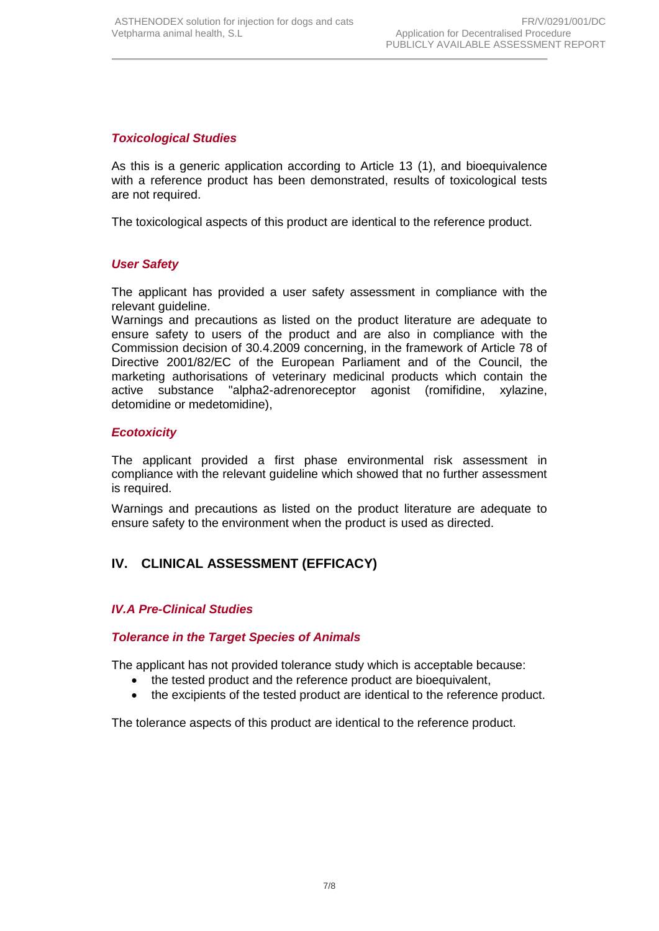## *Toxicological Studies*

As this is a generic application according to Article 13 (1), and bioequivalence with a reference product has been demonstrated, results of toxicological tests are not required.

The toxicological aspects of this product are identical to the reference product.

### *User Safety*

The applicant has provided a user safety assessment in compliance with the relevant guideline.

Warnings and precautions as listed on the product literature are adequate to ensure safety to users of the product and are also in compliance with the Commission decision of 30.4.2009 concerning, in the framework of Article 78 of Directive 2001/82/EC of the European Parliament and of the Council, the marketing authorisations of veterinary medicinal products which contain the active substance "alpha2-adrenoreceptor agonist (romifidine, xylazine, detomidine or medetomidine),

#### *Ecotoxicity*

The applicant provided a first phase environmental risk assessment in compliance with the relevant guideline which showed that no further assessment is required.

Warnings and precautions as listed on the product literature are adequate to ensure safety to the environment when the product is used as directed.

## **IV. CLINICAL ASSESSMENT (EFFICACY)**

#### *IV.A Pre-Clinical Studies*

#### *Tolerance in the Target Species of Animals*

The applicant has not provided tolerance study which is acceptable because:

- the tested product and the reference product are bioequivalent,
- the excipients of the tested product are identical to the reference product.

The tolerance aspects of this product are identical to the reference product.